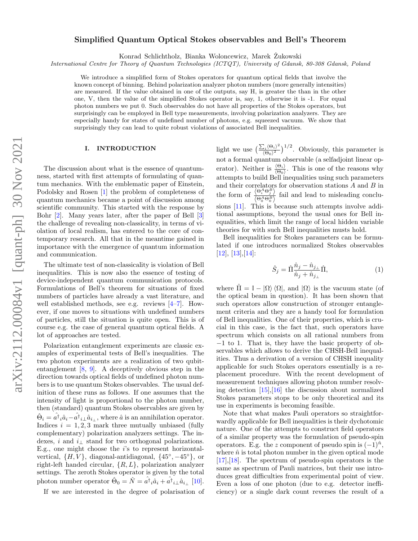# Simplified Quantum Optical Stokes observables and Bell's Theorem

Konrad Schlichtholz, Bianka Woloncewicz, Marek Zukowski ˙

International Centre for Theory of Quantum Technologies (ICTQT), University of Gdansk, 80-308 Gdansk, Poland

We introduce a simplified form of Stokes operators for quantum optical fields that involve the known concept of binning. Behind polarization analyzer photon numbers (more generally intensities) are measured. If the value obtained in one of the outputs, say H, is greater the than in the other one, V, then the value of the simplified Stokes operator is, say, 1, otherwise it is -1. For equal photon numbers we put 0. Such observables do not have all properties of the Stokes operators, but surprisingly can be employed in Bell type measurements, involving polarization analyzers. They are especially handy for states of undefined number of photons, e.g. squeezed vacuum. We show that surprisingly they can lead to quite robust violations of associated Bell inequalities.

### I. INTRODUCTION

The discussion about what is the essence of quantumness, started with first attempts of formulating of quantum mechanics. With the emblematic paper of Einstein, Podolsky and Rosen [\[1\]](#page-8-0) the problem of completeness of quantum mechanics became a point of discussion among scientific community. This started with the response by Bohr [\[2\]](#page-8-1). Many years later, after the paper of Bell [\[3\]](#page-8-2) the challenge of revealing non-classicality, in terms of violation of local realism, has entered to the core of contemporary research. All that in the meantime gained in importance with the emergence of quantum information and communication.

The ultimate test of non-classicality is violation of Bell inequalities. This is now also the essence of testing of device-independent quantum communication protocols. Formulations of Bell's theorem for situations of fixed numbers of particles have already a vast literature, and well established methods, see e.g. reviews [\[4–](#page-8-3)[7\]](#page-8-4). However, if one moves to situations with undefined numbers of particles, still the situation is quite open. This is of course e.g. the case of general quantum optical fields. A lot of approaches are tested.

Polarization entanglement experiments are classic examples of experimental tests of Bell's inequalities. The two photon experiments are a realization of two qubitentanglement [\[8,](#page-8-5) [9\]](#page-8-6). A deceptively obvious step in the direction towards optical fields of undefined photon numbers is to use quantum Stokes observables. The usual definition of these runs as follows. If one assumes that the intensity of light is proportional to the photon number, then (standard) quantum Stokes observables are given by  $\hat{\Theta}_i = \hat{a}^\dagger{}_i \hat{a}_i - \hat{a}^\dagger{}_{i\perp} \hat{a}_{i\perp}$ , where  $\hat{a}$  is an annihilation operator. Indices  $i = 1, 2, 3$  mark three mutually unbiased (fully complementary) polarization analyzers settings. The indexes, i and  $i_{\perp}$  stand for two orthogonal polarizations. E.g., one might choose the  $i$ 's to represent horizontalvertical,  $\{H, V\}$ , diagonal-antidiagonal,  $\{45^\circ, -45^\circ\}$ , or right-left handed circular,  $\{R, L\}$ , polarization analyzer settings. The zeroth Stokes operator is given by the total photon number operator  $\hat{\Theta}_0 = \hat{N} = \hat{a}^\dagger_i \hat{a}_i + \hat{a}^\dagger_{i\perp} \hat{a}_{i\perp}$  [\[10\]](#page-8-7).

If we are interested in the degree of polarisation of

light we use  $\left(\frac{\sum_i {\langle \Theta_i \rangle}^2}{\langle \Theta_i \rangle^2}\right)$  $\frac{\sum_i (\Theta_i)^2}{(\Theta_0)^2}$  (biously, this parameter is not a formal quantum observable (a selfadjoint linear operator). Neither is  $\frac{\langle \Theta_i \rangle}{\langle \Theta_0 \rangle}$ . This is one of the reasons why attempts to build Bell inequalities using such parameters and their correlators for observation stations  $A$  and  $B$  in the form of  $\frac{\langle \Theta_i^A \Theta_j^B \rangle}{\langle \Omega_A^A \Theta_j^B \rangle}$  $\frac{\partial^2 i}{\partial \Theta_0^A \Theta_0^B}$  fail and lead to misleading conclusions [\[11\]](#page-8-8). This is because such attempts involve additional assumptions, beyond the usual ones for Bell inequalities, which limit the range of local hidden variable theories for with such Bell inequalities musts hold.

Bell inequalities for Stokes parameters can be formulated if one introduces normalized Stokes observables  $[12], [13], [14].$  $[12], [13], [14].$  $[12], [13], [14].$  $[12], [13], [14].$  $[12], [13], [14].$  $[12], [13], [14].$ 

<span id="page-0-0"></span>
$$
\hat{S}_j = \hat{\Pi} \frac{\hat{n}_j - \hat{n}_{j\perp}}{\hat{n}_j + \hat{n}_{j\perp}} \hat{\Pi},
$$
\n(1)

where  $\Pi = \mathbb{I} - |\Omega\rangle\langle\Omega|$ , and  $|\Omega\rangle$  is the vacuum state (of the optical beam in question). It has been shown that such operators allow construction of stronger entanglement criteria and they are a handy tool for formulation of Bell inequalities. One of their properties, which is crucial in this case, is the fact that, such operators have spectrum which consists on all rational numbers from −1 to 1. That is, they have the basic property of observables which allows to derive the CHSH-Bell inequalities. Thus a derivation of a version of CHSH inequality applicable for such Stokes operators essentially is a replacement procedure. With the recent development of measurement techniques allowing photon number resolving detection [\[15\]](#page-9-1),[\[16\]](#page-9-2) the discussion about normalized Stokes parameters stops to be only theoretical and its use in experiments is becoming feasible.

Note that what makes Pauli operators so straightforwardly applicable for Bell inequalities is their dychotomic nature. One of the attempts to construct field operators of a similar property was the formulation of pseudo-spin operators. E.g. the z component of pseudo spin is  $(-1)^{\hat{n}}$ , where  $\hat{n}$  is total photon number in the given optical mode [\[17\]](#page-9-3),[\[18\]](#page-9-4). The spectrum of pseudo-spin operators is the same as spectrum of Pauli matrices, but their use introduces great difficulties from experimental point of view. Even a loss of one photon (due to e.g. detector inefficiency) or a single dark count reverses the result of a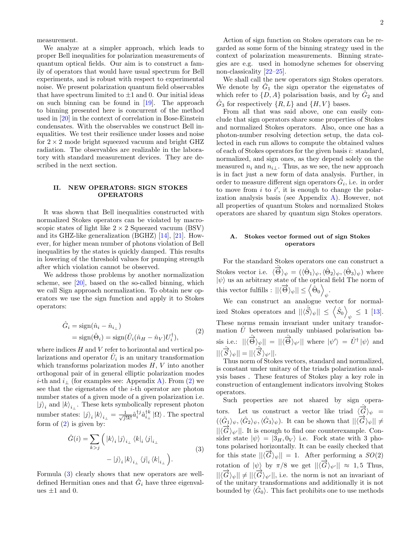measurement.

We analyze at a simpler approach, which leads to proper Bell inequalities for polarization measurements of quantum optical fields. Our aim is to construct a family of operators that would have usual spectrum for Bell experiments, and is robust with respect to experimental noise. We present polarization quantum field observables that have spectrum limited to  $\pm 1$  and 0. Our initial ideas on such binning can be found in [\[19\]](#page-9-5). The approach to binning presented here is concurrent of the method used in [\[20\]](#page-9-6) in the context of correlation in Bose-Einstein condensates. With the observables we construct Bell inequalities. We test their resilience under losses and noise for  $2 \times 2$  mode bright squeezed vacuum and bright GHZ radiation. The observables are realizable in the laboratory with standard measurement devices. They are described in the next section.

### II. NEW OPERATORS: SIGN STOKES OPERATORS

It was shown that Bell inequalities constructed with normalized Stokes operators can be violated by macroscopic states of light like  $2 \times 2$  Squeezed vacuum (BSV) and its GHZ-like generalization (BGHZ) [\[14\]](#page-9-0), [\[21\]](#page-9-7). However, for higher mean number of photons violation of Bell inequalities by the states is quickly damped. This results in lowering of the threshold values for pumping strength after which violation cannot be observed.

We address those problems by another normalization scheme, see [\[20\]](#page-9-6), based on the so-called binning, which we call Sign approach normalization. To obtain new operators we use the sign function and apply it to Stokes operators:

$$
\hat{G}_i = \text{sign}(\hat{n}_i - \hat{n}_{i\perp})
$$
  
= sign( $\hat{\Theta}_i$ ) = sign( $\hat{U}_i(\hat{n}_H - \hat{n}_V)U_i^{\dagger}$ ), (2)

where indices  $H$  and  $V$  refer to horizontal and vertical polarizations and operator  $\hat{U}_i$  is an unitary transformation which transforms polarization modes  $H, V$  into another orthogonal pair of in general elliptic polarization modes *i*-th and  $i_{\perp}$  (for examples see: Appendix [A\)](#page-7-0). From [\(2\)](#page-1-0) we see that the eigenstates of the  $i$ -th operator are photon number states of a given mode of a given polarization i.e.  $|j\rangle_i$  and  $|k\rangle_{i_\perp}.$  These kets symbolically represent photon number states:  $|j\rangle_i |k\rangle_{i\perp} = \frac{1}{\sqrt{j!k!}} \hat{a}_i^{\dagger j} \hat{a}_{i\perp}^{\dagger k} | \Omega \rangle$ . The spectral form of  $(2)$  is given by:

$$
\hat{G}(i) = \sum_{k > j} ( |k\rangle_i |j\rangle_{i\perp} \langle k|_i \langle j|_{i\perp} - |j\rangle_i |k\rangle_{i\perp} \langle j|_i \langle k|_{i\perp}).
$$
\n(3)

Formula [\(3\)](#page-1-1) clearly shows that new operators are welldefined Hermitian ones and that  $\hat{G}_i$  have three eigenvalues  $\pm 1$  and 0.

Action of sign function on Stokes operators can be regarded as some form of the binning strategy used in the context of polarization measurements. Binning strategies are e.g. used in homodyne schemes for observing non-classicality [\[22–](#page-9-8)[25\]](#page-9-9).

We shall call the new operators sign Stokes operators. We denote by  $\hat{G}_1$  the sign operator the eigenstates of which refer to  $\{D, A\}$  polarisation basis, and by  $\hat{G}_2$  and  $\hat{G}_3$  for respectively  $\{R, L\}$  and  $\{H, V\}$  bases.

From all that was said above, one can easily conclude that sign operators share some properties of Stokes and normalized Stokes operators. Also, once one has a photon-number resolving detection setup, the data collected in each run allows to compute the obtained values of each of Stokes operators for the given basis i: standard, normalized, and sign ones, as they depend solely on the measured  $n_i$  and  $n_{i\perp}$ . Thus, as we see, the new approach is in fact just a new form of data analysis. Further, in order to measure different sign operators  $\hat{G}_i$ , i.e. in order to move from  $i$  to  $i'$ , it is enough to change the polarization analysis basis (see Appendix [A\)](#page-7-0). However, not all properties of quantum Stokes and normalized Stokes operators are shared by quantum sign Stokes operators.

## A. Stokes vector formed out of sign Stokes operators

For the standard Stokes operators one can construct a Stokes vector i.e.  $\langle \hat{\vec{\Theta}} \rangle_{\psi} = (\langle \hat{\Theta}_1 \rangle_{\psi}, \langle \hat{\Theta}_2 \rangle_{\psi}, \langle \hat{\Theta}_3 \rangle_{\psi})$  where  $|\psi\rangle$  us an arbitrary state of the optical field The norm of this vector fulfills :  $||\langle \vec{\Theta} \rangle_{\psi}|| \le \langle \hat{\Theta}_0 \rangle$ .

<span id="page-1-0"></span>We can construct an analogue vector for normalized Stokes operators and  $||\langle \hat{\vec{S}} \rangle_{\psi}|| \le \langle \hat{S}_0 \rangle$  $_{\psi}~\leq~1~\,[13].$ These norms remain invariant under unitary transformation  $\hat{U}$  between mutually unbiased polarisation basis i.e.:  $||\langle \hat{\vec{\Theta}} \rangle_{\psi}|| = ||\langle \hat{\vec{\Theta}} \rangle_{\psi'}||$  where  $|\psi' \rangle = \hat{U}^{\dagger} |\psi \rangle$  and  $||\langle \hat{\vec{S}} \rangle_{\psi}|| = ||\langle \hat{\vec{S}} \rangle_{\psi'}||.$ 

Thus norm of Stokes vectors, standard and normalized, is constant under unitary of the triads polarization analysis bases . These features of Stokes play a key role in construction of entanglement indicators involving Stokes operators.

<span id="page-1-1"></span>Such properties are not shared by sign operators. Let us construct a vector like triad  $\langle \hat{\vec{G}} \rangle_{\psi}$  =  $(\langle \hat{G}_1 \rangle_{\psi}, \langle \hat{G}_2 \rangle_{\psi}, \langle \hat{G}_3 \rangle_{\psi})$ . It can be shown that  $||\langle \vec{G} \rangle_{\psi}|| \neq$  $||\langle G\rangle_{\psi'}||$ . It is enough to find one counterexample. Consider state  $|\psi\rangle = |3_H, 0_V\rangle$  i.e. Fock state with 3 photons polarised horizontally. It can be easily checked that for this state  $||\langle \vec{G} \rangle_{\psi}|| = 1$ . After performing a  $SO(2)$ rotation of  $|\psi\rangle$  by  $\pi/8$  we get  $||\langle \vec{G} \rangle_{\psi'}|| \approx 1.5$  Thus,  $||\langle \overrightarrow{G} \rangle_{\psi}|| \neq ||\langle \overrightarrow{G} \rangle_{\psi'}||$ , i.e. the norm is not an invariant of of the unitary transformations and additionally it is not bounded by  $\langle \hat{G}_0 \rangle$ . This fact prohibits one to use methods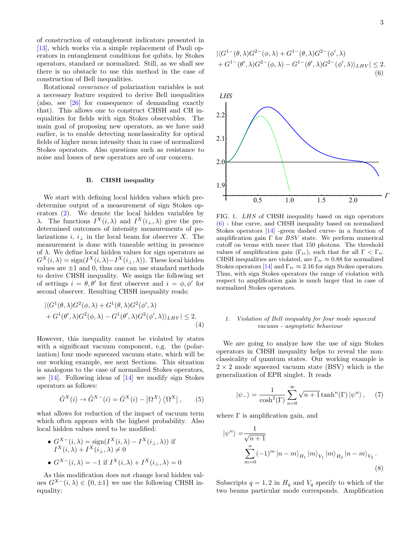of construction of entanglement indicators presented in [\[13\]](#page-8-10), which works via a simple replacement of Pauli operators in entanglement conditions for qubits, by Stokes operators, standard or normalized. Still, as we shall see there is no obstacle to use this method in the case of construction of Bell inequalities.

Rotational covariance of polarization variables is not a necessary feature required to derive Bell inequalities (also, see [\[26\]](#page-9-10) for consequence of demanding exactly that). This allows one to construct CHSH and CH inequalities for fields with sign Stokes observables. The main goal of proposing new operators, as we have said earlier, is to enable detecting nonclassicality for optical fields of higher mean intensity than in case of normalized Stokes operators. Also questions such as resistance to noise and losses of new operators are of our concern.

#### <span id="page-2-3"></span>B. CHSH inequality

We start with defining local hidden values which predetermine output of a measurement of sign Stokes operators [\(2\)](#page-1-0). We denote the local hidden variables by λ. The functions  $I^X(i, \lambda)$  and  $I^X(i_{\perp}, \lambda)$  give the predetermined outcomes of intensity measurements of polarizations  $i, i_{\perp}$  in the local beam for observer X. The measurement is done with tuneable setting in presence of  $\lambda$ . We define local hidden values for sign operators as  $G^X(i, \lambda) = \text{sign}(I^X(i, \lambda) - I^X(i_{\perp}, \lambda)).$  These local hidden values are  $\pm 1$  and 0, thus one can use standard methods to derive CHSH inequality. We assign the following set of settings  $i = \theta, \theta'$  for first observer and  $i = \phi, \phi'$  for second observer. Resulting CHSH inequality reads:

$$
\left| \langle G^1(\theta,\lambda)G^2(\phi,\lambda) + G^1(\theta,\lambda)G^2(\phi',\lambda) \right|
$$
  
+  $G^1(\theta',\lambda)G^2(\phi,\lambda) - G^1(\theta',\lambda)G^2(\phi',\lambda) \rangle_{LHV} \right| \leq 2,$   
(4)

However, this inequality cannot be violated by states with a significant vacuum component, e,g. the (polarization) four mode squeezed vacuum state, which will be our working example, see next Sections. This situation is analogous to the case of normalized Stokes operators, see  $[14]$ . Following ideas of  $[14]$  we modify sign Stokes operators as follows:

$$
\hat{G}^X(i) \to \hat{G}^{X-}(i) = \hat{G}^X(i) - |\Omega^X\rangle\langle\Omega^X|, \qquad (5)
$$

what allows for reduction of the impact of vacuum term which often appears with the highest probability. Also local hidden values need to be modified:

•  $G^{X-}(i,\lambda) = \text{sign}(I^X(i,\lambda) - I^X(i_\perp,\lambda))$  if  $I^X(i,\lambda) + I^X(i_\perp,\lambda) \neq 0$ •  $G^{X-}(i,\lambda) = -1$  if  $I^{X}(i,\lambda) + I^{X}(i_{\perp},\lambda) = 0$ 

As this modification does not change local hidden values  $G^{X-}(i,\lambda) \in \{0,\pm 1\}$  we use the following CHSH inequality:

<span id="page-2-0"></span>
$$
\left| \langle G^{1-}(\theta,\lambda)G^{2-}(\phi,\lambda) + G^{1-}(\theta,\lambda)G^{2-}(\phi',\lambda) \right|
$$
  
+ 
$$
G^{1-}(\theta',\lambda)G^{2-}(\phi,\lambda) - G^{1-}(\theta',\lambda)G^{2-}(\phi',\lambda) \rangle_{LHV} \right| \leq 2.
$$
  
(6)



<span id="page-2-1"></span>FIG. 1. LHS of CHSH inequality based on sign operators [\(6\)](#page-2-0) - blue curve, and CHSH inequality based on normalized Stokes operators [\[14\]](#page-9-0) -green dashed curve- in a function of amplification gain  $\Gamma$  for BSV state. We perform numerical cutoff on terms with more that 150 photons. The threshold values of amplification gain  $(\Gamma_{tr})$ , such that for all  $\Gamma < \Gamma_{tr}$ CHSH inequalities are violated, are  $\Gamma_{tr} \approx 0.88$  for normalized Stokes operators [\[14\]](#page-9-0) and  $\Gamma_{tr} \approx 2.16$  for sign Stokes operators. Thus, with sign Stokes operators the range of violation with respect to amplification gain is much larger that in case of normalized Stokes operators.

## <span id="page-2-2"></span>1. Violation of Bell inequality for four mode squeezed vacuum - asymptotic behaviour

We are going to analyze how the use of sign Stokes operators in CHSH inequality helps to reveal the nonclassicality of quantum states. Our working example is  $2 \times 2$  mode squeezed vacuum state (BSV) which is the generalization of EPR singlet. It reads

$$
|\psi_{-}\rangle = \frac{1}{\cosh^2(\Gamma)} \sum_{n=0}^{\infty} \sqrt{n+1} \tanh^n(\Gamma) |\psi^n\rangle, \quad (7)
$$

where  $\Gamma$  is amplification gain, and

$$
|\psi^{n}\rangle = \frac{1}{\sqrt{n+1}}\n\sum_{m=0}^{n} (-1)^{m} |n-m\rangle_{H_{1}} |m\rangle_{V_{1}} |m\rangle_{H_{2}} |n-m\rangle_{V_{2}}.
$$
\n(8)

Subscripts  $q = 1, 2$  in  $H_q$  and  $V_q$  specify to which of the two beams particular mode corresponds. Amplification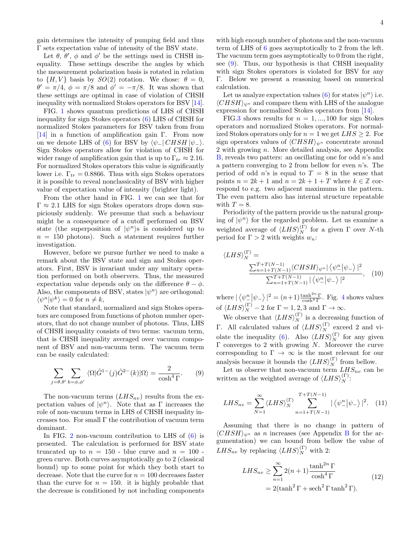gain determines the intensity of pumping field and thus Γ sets expectation value of intensity of the BSV state.

Let  $\theta$ ,  $\theta'$ ,  $\phi$  and  $\phi'$  be the settings used in CHSH inequality. These settings describe the angles by which the measurement polarization basis is rotated in relation to  $\{H, V\}$  basis by  $SO(2)$  rotation. We chose:  $\theta = 0$ ,  $\theta' = \pi/4$ ,  $\phi = \pi/8$  and  $\phi' = -\pi/8$ . It was shown that these settings are optimal in case of violation of CHSH inequality with normalized Stokes operators for BSV [\[14\]](#page-9-0).

FIG. [1](#page-2-1) shows quantum predictions of LHS of CHSH inequality for sign Stokes operators [\(6\)](#page-2-0) LHS of CHSH for normalized Stokes parameters for BSV taken from from [\[14\]](#page-9-0) in a function of amplification gain Γ. From now on we denote LHS of [\(6\)](#page-2-0) for BSV by  $\langle \psi_- | CHSH | \psi_-\rangle$ . Sign Stokes operators allow for violation of CHSH for wider range of amplification gain that is up to  $\Gamma_{tr} \approx 2.16$ . For normalized Stokes operators this value is significantly lower i.e.  $\Gamma_{tr} = 0.8866$ . Thus with sign Stokes operators it is possible to reveal nonclassicality of BSV with higher value of expectation value of intensity (brighter light).

From the other hand in FIG. [1](#page-2-1) we can see that for  $\Gamma \approx 2.1$  LHS for sign Stokes operators drops down suspiciously suddenly. We presume that such a behaviour might be a consequence of a cutoff performed on BSV state (the superposition of  $|\psi^n\rangle$ s is considered up to  $n = 150$  photons). Such a statement requires further investigation.

However, before we pursue further we need to make a remark about the BSV state and sign and Stokes operators. First, BSV is invariant under any unitary operation performed on both observers. Thus, the measured expectation value depends only on the difference  $\theta - \phi$ . Also, the components of BSV, states  $|\psi^n\rangle$  are orthogonal:  $\langle \psi^n | \psi^k \rangle = 0$  for  $n \neq k$ ,

Note that standard, normalized and sign Stokes operators are composed from functions of photon number operators, that do not change number of photons. Thus, LHS of CHSH inequality consists of two terms: vacuum term, that is CHSH inequality averaged over vacuum component of BSV and non-vacuum term. The vacuum term can be easily calculated:

<span id="page-3-0"></span>
$$
\sum_{j=\theta,\theta'} \sum_{k=\phi,\phi'} \langle \Omega | \hat{G}^{1-}(j) \hat{G}^{2-}(k) | \Omega \rangle = \frac{2}{\cosh^4 \Gamma}.
$$
 (9)

The non-vacuum terms  $(LHS_{nv})$  results from the expectation values of  $|\psi^n\rangle$ . Note that as  $\Gamma$  increases the role of non-vacuum terms in LHS of CHSH inequality increases too. For small Γ the contribution of vacuum term dominant.

In FIG. [2](#page-4-0) non-vacuum contribution to LHS of [\(6\)](#page-2-0) is presented. The calculation is performed for BSV state truncated up to  $n = 150$  - blue curve and  $n = 100$  green curve. Both curves asymptotically go to 2 (classical bound) up to some point for which they both start to decrease. Note that the curve for  $n = 100$  decreases faster than the curve for  $n = 150$ . it is highly probable that the decrease is conditioned by not including components

with high enough number of photons and the non-vacuum term of LHS of [6](#page-2-0) goes asymptotically to 2 from the left. The vacuum term goes asymptotically to 0 from the right, see [\(9\)](#page-3-0). Thus, our hypothesis is that CHSH inequality with sign Stokes operators is violated for BSV for any Γ. Below we present a reasoning based on numerical calculation.

Let us analyze expectation values [\(6\)](#page-2-0) for states  $|\psi^n\rangle$  i.e.  $\langle CHSH \rangle_{\psi^n}$  and compare them with LHS of the analogue expression for normalized Stokes operators from [\[14\]](#page-9-0).

FIG[.3](#page-4-1) shows results for  $n = 1, ..., 100$  for sign Stokes operators and normalized Stokes operators. For normalized Stokes operators only for  $n = 1$  we get  $LHS \geq 2$ . For sign operators values of  $\langle CHSH \rangle_{\psi^n}$  concentrate around 2 with growing n. More detailed analysis, see Appendix  $B$ , reveals two patters: an oscillating one for odd  $n$ 's and a pattern converging to 2 from bellow for even  $n$ 's. The period of odd n's is equal to  $T = 8$  in the sense that points  $n = 2k + 1$  and  $n = 2k + 1 + T$  where  $k \in \mathbb{Z}$  correspond to e.g. two adjacent maximums in the pattern. The even pattern also has internal structure repeatable with  $T = 8$ .

Periodicity of the pattern provide us the natural grouping of  $|\psi^n\rangle$  for the regarded problem. Let us examine a weighted average of  $\langle LHS \rangle_N^{(\Gamma)}$  for a given  $\Gamma$  over N-th period for  $\Gamma > 2$  with weights  $w_n$ :

$$
\langle LHS \rangle_N^{(\Gamma)} = \frac{\sum_{n=1+T(N-1)}^{T+T(N-1)} \langle CHSH \rangle_{\psi^n} | \langle \psi^n_- | \psi_- \rangle|^2}{\sum_{n=1+T(N-1)}^{T+T(N-1)} | \langle \psi^n_- | \psi_- \rangle|^2}, \quad (10)
$$

where  $|\langle \psi_{-}^n | \psi_{-} \rangle|^2 = (n+1) \frac{\tanh^{2n} \Gamma}{\cosh^4 \Gamma}$  $|\langle \psi_{-}^n | \psi_{-} \rangle|^2 = (n+1) \frac{\tanh^{2n} \Gamma}{\cosh^4 \Gamma}$  $|\langle \psi_{-}^n | \psi_{-} \rangle|^2 = (n+1) \frac{\tanh^{2n} \Gamma}{\cosh^4 \Gamma}$ . Fig. 4 shows values of  $\langle LHS \rangle_N^{(\Gamma)} - 2$  for  $\Gamma = 1, 2, 3$  and  $\Gamma \to \infty$ .

We observe that  $\langle LHS \rangle_N^{(\Gamma)}$  is a decreasing function of Γ. All calculated values of  $\langle LHS \rangle_N^{(\Gamma)}$  exceed 2 and vi-olate the inequality [\(6\)](#page-2-0). Also  $\langle LHS \rangle_N^{(\Gamma)}$  for any given Γ converges to 2 with growing N. Moreover the curve corresponding to  $\Gamma \to \infty$  is the most relevant for our analysis because it bounds the  $\langle LHS \rangle_N^{(\Gamma)}$  from bellow.

Let us observe that non-vacuum term  $LHS_{nv}$  can be written as the weighted average of  $\langle LHS \rangle_N^{(\Gamma)}$ :

$$
LHS_{nv} = \sum_{N=1}^{\infty} \langle LHS \rangle_N^{(\Gamma)} \sum_{n=1+T(N-1)}^{T+T(N-1)} |\langle \psi_{-}^n | \psi_{-} \rangle|^2. \tag{11}
$$

Assuming that there is no change in pattern of  $\langle CHSH \rangle_{\psi^n}$  as n increases (see Appendix [B](#page-7-1) for the argumentation) we can bound from bellow the value of  $LHS_{nv}$  by replacing  $\langle LHS \rangle_N^{(\Gamma)}$  with 2:

<span id="page-3-1"></span>
$$
LHS_{nv} \ge \sum_{n=1}^{\infty} 2(n+1) \frac{\tanh^{2n} \Gamma}{\cosh^4 \Gamma}
$$
  
= 2(\tanh<sup>2</sup> \Gamma + \sech<sup>2</sup> \Gamma \tanh<sup>2</sup> \Gamma). (12)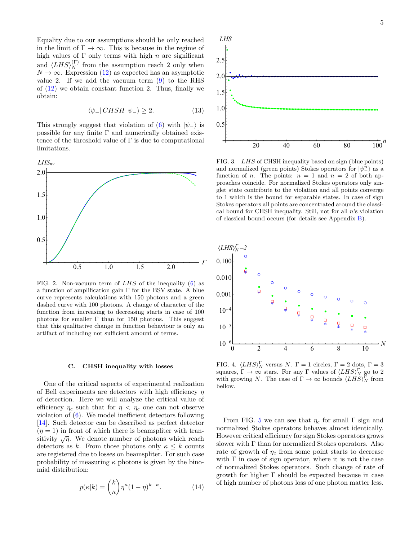Equality due to our assumptions should be only reached in the limit of  $\Gamma \to \infty$ . This is because in the regime of high values of  $\Gamma$  only terms with high n are significant and  $\langle LHS \rangle_N^{(\Gamma)}$  from the assumption reach 2 only when  $N \to \infty$ . Expression [\(12\)](#page-3-1) as expected has an asymptotic value 2. If we add the vacuum term  $(9)$  to the RHS of  $(12)$  we obtain constant function 2. Thus, finally we obtain:

$$
\langle \psi_- | \, CHSH \, | \psi_- \rangle \ge 2. \tag{13}
$$

This strongly suggest that violation of [\(6\)](#page-2-0) with  $|\psi_-\rangle$  is possible for any finite  $\Gamma$  and numerically obtained existence of the threshold value of  $\Gamma$  is due to computational limitations.



<span id="page-4-0"></span>FIG. 2. Non-vacuum term of  $LHS$  of the inequality [\(6\)](#page-2-0) as a function of amplification gain Γ for the BSV state. A blue curve represents calculations with 150 photons and a green dashed curve with 100 photons. A change of character of the function from increasing to decreasing starts in case of 100 photons for smaller  $\Gamma$  than for 150 photons. This suggest that this qualitative change in function behaviour is only an artifact of including not sufficient amount of terms.

#### <span id="page-4-3"></span>C. CHSH inequality with losses

One of the critical aspects of experimental realization of Bell experiments are detectors with high efficiency  $\eta$ of detection. Here we will analyze the critical value of efficiency  $\eta_c$  such that for  $\eta < \eta_c$  one can not observe violation of [\(6\)](#page-2-0). We model inefficient detectors following [\[14\]](#page-9-0). Such detector can be described as perfect detector  $(\eta = 1)$  in front of which there is beamspliter with transitivity  $\sqrt{\eta}$ . We denote number of photons which reach detectors as k. From those photons only  $\kappa \leq k$  counts are registered due to losses on beamspliter. For such case probability of measuring  $\kappa$  photons is given by the binomial distribution:

$$
p(\kappa|k) = \binom{k}{\kappa} \eta^{\kappa} (1-\eta)^{k-\kappa}.
$$
 (14)



<span id="page-4-1"></span>FIG. 3. LHS of CHSH inequality based on sign (blue points) and normalized (green points) Stokes operators for  $|\psi_{-}^{n}\rangle$  as a function of *n*. The points:  $n = 1$  and  $n = 2$  of both approaches coincide. For normalized Stokes operators only singlet state contribute to the violation and all points converge to 1 which is the bound for separable states. In case of sign Stokes operators all points are concentrated around the classical bound for CHSH inequality. Still, not for all n's violation of classical bound occurs (for details see Appendix [B\)](#page-7-1).



<span id="page-4-2"></span>FIG. 4.  $\langle LHS \rangle_N^{\Gamma}$  versus N.  $\Gamma = 1$  circles,  $\Gamma = 2$  dots,  $\Gamma = 3$ squares,  $\Gamma \to \infty$  stars. For any  $\Gamma$  values of  $\langle LHS \rangle_N^{\Gamma}$  go to 2 with growing N. The case of  $\Gamma \to \infty$  bounds  $\langle LHS \rangle_N^{\Gamma}$  from bellow.

From FIG. [5](#page-5-0) we can see that  $\eta_c$  for small  $\Gamma$  sign and normalized Stokes operators behaves almost identically. However critical efficiency for sign Stokes operators grows slower with Γ than for normalized Stokes operators. Also rate of growth of  $\eta_c$  from some point starts to decrease with  $\Gamma$  in case of sign operator, where it is not the case of normalized Stokes operators. Such change of rate of growth for higher Γ should be expected because in case of high number of photons loss of one photon matter less.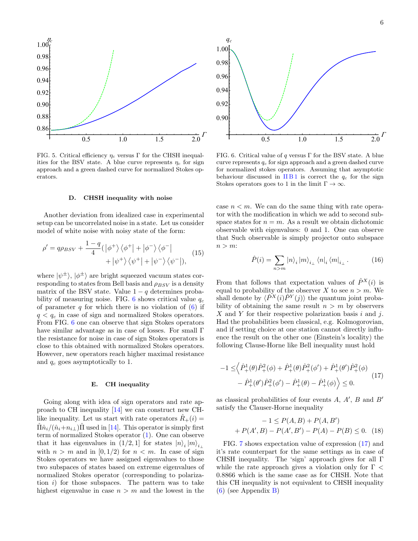

<span id="page-5-0"></span>FIG. 5. Critical efficiency  $\eta_c$  versus Γ for the CHSH inequalities for the BSV state. A blue curve represents  $\eta_c$  for sign approach and a green dashed curve for normalized Stokes operators.

### D. CHSH inequality with noise

Another deviation from idealized case in experimental setup can be uncorrelated noise in a state. Let us consider model of white noise with noisy state of the form:

$$
\rho' = q\rho_{BSV} + \frac{1-q}{4} (\left|\phi^{+}\right\rangle\left\langle\phi^{+}\right| + \left|\phi^{-}\right\rangle\left\langle\phi^{-}\right| + \left|\psi^{+}\right\rangle\left\langle\psi^{+}\right| + \left|\psi^{-}\right\rangle\left\langle\psi^{-}\right|),
$$
 (15)

where  $|\psi^{\pm}\rangle$ ,  $|\phi^{\pm}\rangle$  are bright squeezed vacuum states corresponding to states from Bell basis and  $\rho_{BSV}$  is a density matrix of the BSV state. Value  $1 - q$  determines proba-bility of measuring noise. FIG. [6](#page-5-1) shows critical value  $q_c$ of parameter q for which there is no violation of  $(6)$  if  $q < q_c$  in case of sign and normalized Stokes operators. From FIG. [6](#page-5-1) one can observe that sign Stokes operators have similar advantage as in case of losses. For small Γ the resistance for noise in case of sign Stokes operators is close to this obtained with normalized Stokes operators. However, new operators reach higher maximal resistance and  $q_c$  goes asymptotically to 1.

### E. CH inequality

Going along with idea of sign operators and rate approach to CH inequality [\[14\]](#page-9-0) we can construct new CHlike inequality. Let us start with rate operators  $\hat{R}_{+}(i) =$  $\hat{\Pi}\hat{n}_i/(\hat{n}_i+n_{i\perp})\hat{\Pi}$  used in [[14\]](#page-9-0). This operator is simply first term of normalized Stokes operator [\(1\)](#page-0-0). One can observe that it has eigenvalues in  $(1/2, 1]$  for states  $|n\rangle_i |m\rangle_{i_{\perp}}$ with  $n > m$  and in  $[0, 1/2)$  for  $n < m$ . In case of sign Stokes operators we have assigned eigenvalues to those two subspaces of states based on extreme eigenvalues of normalized Stokes operator (corresponding to polarization  $i$ ) for those subspaces. The pattern was to take highest eigenvalue in case  $n > m$  and the lowest in the



<span id="page-5-1"></span>FIG. 6. Critical value of q versus  $\Gamma$  for the BSV state. A blue curve represents  $q_c$  for sign approach and a green dashed curve for normalized stokes operators. Assuming that asymptotic behaviour discussed in  $\Pi B1$  is correct the  $q_c$  for the sign Stokes operators goes to 1 in the limit  $\Gamma \to \infty$ .

case  $n < m$ . We can do the same thing with rate operator with the modification in which we add to second subspace states for  $n = m$ . As a result we obtain dichotomic observable with eigenvalues: 0 and 1. One can observe that Such observable is simply projector onto subspace  $n > m$ :

$$
\hat{P}(i) = \sum_{n>m} |n\rangle_i |m\rangle_{i\perp} \langle n|_i \langle m|_{i\perp} . \tag{16}
$$

From that follows that expectation values of  $\hat{P}^{X}(i)$  is equal to probability of the observer X to see  $n > m$ . We shall denote by  $\langle \hat{P}^X(i)\hat{P}^Y(j)\rangle$  the quantum joint probability of obtaining the same result  $n > m$  by observers X and Y for their respective polarization basis  $i$  and  $j$ . Had the probabilities been classical, e.g. Kolmogorovian, and if setting choice at one station cannot directly influence the result on the other one (Einstein's locality) the following Clause-Horne like Bell inequality must hold

$$
-1 \leq \left\langle \hat{P}_{+}^{1}(\theta)\hat{P}_{+}^{2}(\phi) + \hat{P}_{+}^{1}(\theta)\hat{P}_{+}^{2}(\phi') + \hat{P}_{+}^{1}(\theta')\hat{P}_{+}^{2}(\phi) - \hat{P}_{+}^{1}(\theta')\hat{P}_{+}^{2}(\phi') - \hat{P}_{+}^{1}(\theta) - \hat{P}_{+}^{1}(\phi) \right\rangle \leq 0.
$$
\n(17)

as classical probabilities of four events  $A, A', B$  and  $B'$ satisfy the Clauser-Horne inequality

<span id="page-5-2"></span>
$$
-1 \le P(A, B) + P(A, B')
$$
  
+  $P(A', B) - P(A', B') - P(A) - P(B) \le 0.$  (18)

FIG. [7](#page-6-0) shows expectation value of expression [\(17\)](#page-5-2) and it's rate counterpart for the same settings as in case of CHSH inequality. The 'sign' approach gives for all Γ while the rate approach gives a violation only for  $\Gamma$  < 0.8866 which is the same case as for CHSH. Note that this CH inequality is not equivalent to CHSH inequality  $(6)$  (see Appendix [B\)](#page-7-1)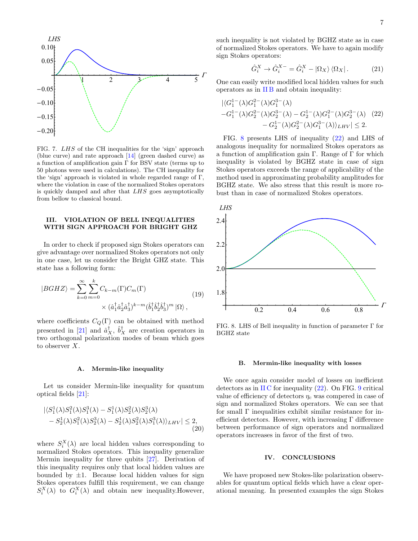

<span id="page-6-0"></span>FIG. 7. LHS of the CH inequalities for the 'sign' approach (blue curve) and rate approach [\[14\]](#page-9-0) (green dashed curve) as a function of amplification gain Γ for BSV state (terms up to 50 photons were used in calculations). The CH inequality for the 'sign' approach is violated in whole regarded range of Γ, where the violation in case of the normalized Stokes operators is quickly damped and after that LHS goes asymptotically from bellow to classical bound.

## III. VIOLATION OF BELL INEQUALITIES WITH SIGN APPROACH FOR BRIGHT GHZ

In order to check if proposed sign Stokes operators can give advantage over normalized Stokes operators not only in one case, let us consider the Bright GHZ state. This state has a following form:

$$
|BGHZ\rangle = \sum_{k=0}^{\infty} \sum_{m=0}^{k} C_{k-m}(\Gamma) C_m(\Gamma)
$$
  
 
$$
\times (\hat{a}_1^{\dagger} \hat{a}_2^{\dagger} \hat{a}_3^{\dagger})^{k-m} (\hat{b}_1^{\dagger} \hat{b}_2^{\dagger} \hat{b}_3^{\dagger})^m |\Omega\rangle,
$$
 (19)

where coefficients  $C_Q(\Gamma)$  can be obtained with method presented in [\[21\]](#page-9-7) and  $\hat{a}_X^{\dagger}$ ,  $\hat{b}_X^{\dagger}$  are creation operators in two orthogonal polarization modes of beam which goes to observer X.

### A. Mermin-like inequality

Let us consider Mermin-like inequality for quantum optical fields [\[21\]](#page-9-7):

$$
\begin{aligned} & \left| \langle S_1^1(\lambda) S_1^2(\lambda) S_1^3(\lambda) - S_1^1(\lambda) S_2^2(\lambda) S_2^3(\lambda) \right| \\ &- S_2^1(\lambda) S_1^2(\lambda) S_2^3(\lambda) - S_2^1(\lambda) S_2^2(\lambda) S_1^3(\lambda) \rangle_{LHV} \right| \le 2, \end{aligned} \tag{20}
$$

where  $S_i^X(\lambda)$  are local hidden values corresponding to normalized Stokes operators. This inequality generalize Mermin inequality for three qubits [\[27\]](#page-9-11). Derivation of this inequality requires only that local hidden values are bounded by  $\pm 1$ . Because local hidden values for sign Stokes operators fulfill this requirement, we can change  $S_i^X(\lambda)$  to  $G_i^X(\lambda)$  and obtain new inequality.However,

such inequality is not violated by BGHZ state as in case of normalized Stokes operators. We have to again modify sign Stokes operators:

<span id="page-6-2"></span>
$$
\hat{G}_i^X \to \hat{G}_i^{X-} = \hat{G}_i^X - |\Omega_X\rangle\langle\Omega_X| \,. \tag{21}
$$

One can easily write modified local hidden values for such operators as in [II B](#page-2-3) and obtain inequality:

$$
\begin{aligned} |\langle G_1^{1-}(\lambda)G_1^{2-}(\lambda)G_1^{3-}(\lambda) \\ -G_1^{1-}(\lambda)G_2^{2-}(\lambda)G_2^{3-}(\lambda) - G_2^{1-}(\lambda)G_1^{2-}(\lambda)G_2^{3-}(\lambda) \\ &- G_2^{1-}(\lambda)G_2^{2-}(\lambda)G_1^{3-}(\lambda)\rangle_{LHV}| \le 2. \end{aligned} \tag{22}
$$

FIG. [8](#page-6-1) presents LHS of inequality [\(22\)](#page-6-2) and LHS of analogous inequality for normalized Stokes operators as a function of amplification gain Γ. Range of Γ for which inequality is violated by BGHZ state in case of sign Stokes operators exceeds the range of applicability of the method used in approximating probability amplitudes for BGHZ state. We also stress that this result is more robust than in case of normalized Stokes operators.



<span id="page-6-1"></span>FIG. 8. LHS of Bell inequality in function of parameter Γ for BGHZ state

## B. Mermin-like inequality with losses

We once again consider model of losses on inefficient detectors as in  $\text{II C}$  $\text{II C}$  $\text{II C}$  for inequality [\(22\)](#page-6-2). On FIG. [9](#page-7-2) critical value of efficiency of detectors  $\eta_c$  was compered in case of sign and normalized Stokes operators. We can see that for small Γ inequalities exhibit similar resistance for inefficient detectors. However, with increasing  $\Gamma$  difference between performance of sign operators and normalized operators increases in favor of the first of two.

### IV. CONCLUSIONS

We have proposed new Stokes-like polarization observables for quantum optical fields which have a clear operational meaning. In presented examples the sign Stokes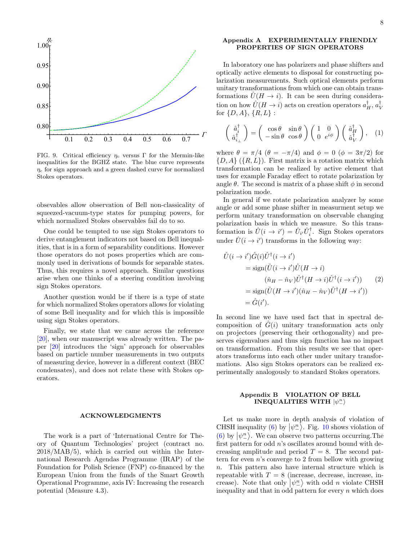

<span id="page-7-2"></span>FIG. 9. Critical efficiency  $\eta_c$  versus Γ for the Mermin-like inequalities for the BGHZ state. The blue curve represents  $\eta_c$  for sign approach and a green dashed curve for normalized Stokes operators.

obsevables allow observation of Bell non-classicality of squeezed-vacuum-type states for pumping powers, for which normalized Stokes observables fail do to so.

One could be tempted to use sign Stokes operators to derive entanglement indicators not based on Bell inequalities, that is in a form of separability conditions. However those operators do not poses properties which are commonly used in derivations of bounds for separable states. Thus, this requires a novel approach. Similar questions arise when one thinks of a steering condition involving sign Stokes operators.

Another question would be if there is a type of state for which normalized Stokes operators allows for violating of some Bell inequality and for which this is impossible using sign Stokes operators.

Finally, we state that we came across the reference [\[20\]](#page-9-6), when our manuscript was already written. The paper [\[20\]](#page-9-6) introduces the 'sign' approach for observables based on particle number measurements in two outputs of measuring device, however in a different context (BEC condensates), and does not relate these with Stokes operators.

#### ACKNOWLEDGMENTS

The work is a part of 'International Centre for Theory of Quantum Technologies' project (contract no. 2018/MAB/5), which is carried out within the International Research Agendas Programme (IRAP) of the Foundation for Polish Science (FNP) co-financed by the European Union from the funds of the Smart Growth Operational Programme, axis IV: Increasing the research potential (Measure 4.3).

## <span id="page-7-0"></span>Appendix A EXPERIMENTALLY FRIENDLY PROPERTIES OF SIGN OPERATORS

In laboratory one has polarizers and phase shifters and optically active elements to disposal for constructing polarization measurements. Such optical elements perform unitary transformations from which one can obtain transformations  $\ddot{U}(H \to i)$ . It can be seen during consideration on how  $\hat{U}(H \to i)$  acts on creation operators  $a_H^{\dagger}$ ,  $a_V^{\dagger}$ for  $\{D, A\}, \{R, L\}$ :

$$
\begin{pmatrix}\n\hat{a}_i^{\dagger} \\
\hat{a}_{i\perp}^{\dagger}\n\end{pmatrix} = \begin{pmatrix}\n\cos\theta & \sin\theta \\
-\sin\theta & \cos\theta\n\end{pmatrix} \begin{pmatrix}\n1 & 0 \\
0 & e^{i\phi}\n\end{pmatrix} \begin{pmatrix}\n\hat{a}_H^{\dagger} \\
\hat{a}_V^{\dagger}\n\end{pmatrix}, (1)
$$

where  $\theta = \pi/4$  ( $\theta = -\pi/4$ ) and  $\phi = 0$  ( $\phi = 3\pi/2$ ) for  $\{D, A\}$  ( $\{R, L\}$ ). First matrix is a rotation matrix which transformation can be realized by active element that uses for example Faraday effect to rotate polarization by angle  $\theta$ . The second is matrix of a phase shift  $\phi$  in second polarization mode.

In general if we rotate polarization analyzer by some angle or add some phase shifter in measurment setup we perform unitary transformation on observable changing polarization basis in which we measure. So this transformation is  $\hat{U}(i \to i') = \hat{U}_{i'} \hat{U}_{i}^{\dagger}$ . Sign Stokes operators under  $\hat{U}(i \to i')$  transforms in the following way:

$$
\hat{U}(i \to i')\hat{G}(i)\hat{U}^{\dagger}(i \to i')
$$
\n
$$
= \text{sign}(\hat{U}(i \to i')\hat{U}(H \to i)
$$
\n
$$
(\hat{n}_H - \hat{n}_V)\hat{U}^{\dagger}(H \to i)\hat{U}^{\dagger}(i \to i'))
$$
\n
$$
= \text{sign}(\hat{U}(H \to i')(\hat{n}_H - \hat{n}_V)\hat{U}^{\dagger}(H \to i'))
$$
\n
$$
= \hat{G}(i').
$$
\n(2)

In second line we have used fact that in spectral decomposition of  $\tilde{G}(i)$  unitary transformation acts only on projectors (preserving their orthogonality) and preserves eigenvalues and thus sign function has no impact on transformation. From this results we see that operators transforms into each other under unitary transformations. Also sign Stokes operators can be realized experimentally analogously to standard Stokes operators.

# <span id="page-7-1"></span>Appendix B VIOLATION OF BELL INEQUALITIES WITH  $\ket{\psi^n_-}$

Let us make more in depth analysis of violation of CHSH inequality [\(6\)](#page-2-0) by  $|\psi_{-}^{n}\rangle$ . Fig. [10](#page-8-11) shows violation of [\(6\)](#page-2-0) by  $|\psi_{\perp}^n\rangle$ . We can observe two patterns occurring. The first pattern for odd n's oscillates around bound with decreasing amplitude and period  $T = 8$ . The second pattern for even  $n$ 's converge to 2 from bellow with growing n. This pattern also have internal structure which is repeatable with  $T = 8$  (increase, decrease, increase, increase). Note that only  $|\psi_{-}^n\rangle$  with odd *n* violate CHSH inequality and that in odd pattern for every  $n$  which does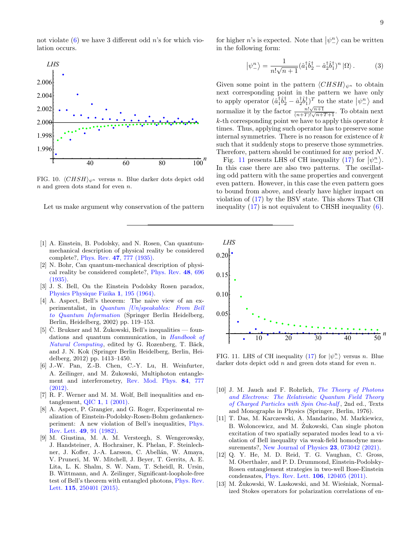not violate  $(6)$  we have 3 different odd n's for which violation occurs.



<span id="page-8-11"></span>FIG. 10.  $\langle CHSH \rangle_{\psi^n}$  versus n. Blue darker dots depict odd n and green dots stand for even n.

Let us make argument why conservation of the pattern

- <span id="page-8-0"></span>[1] A. Einstein, B. Podolsky, and N. Rosen, Can quantummechanical description of physical reality be considered complete?, Phys. Rev. 47[, 777 \(1935\).](https://doi.org/10.1103/PhysRev.47.777)
- <span id="page-8-1"></span>[2] N. Bohr, Can quantum-mechanical description of physical reality be considered complete?, [Phys. Rev.](https://doi.org/10.1103/PhysRev.48.696) 48, 696 [\(1935\).](https://doi.org/10.1103/PhysRev.48.696)
- <span id="page-8-2"></span>[3] J. S. Bell, On the Einstein Podolsky Rosen paradox, [Physics Physique Fizika](https://doi.org/10.1103/PhysicsPhysiqueFizika.1.195) 1, 195 (1964).
- <span id="page-8-3"></span>[4] A. Aspect, Bell's theorem: The naive view of an experimentalist, in [Quantum \[Un\]speakables: From Bell](https://doi.org/10.1007/978-3-662-05032-3_9) [to Quantum Information](https://doi.org/10.1007/978-3-662-05032-3_9) (Springer Berlin Heidelberg, Berlin, Heidelberg, 2002) pp. 119–153.
- [5]  $\check{C}$ . Brukner and M.  $\check{Z}$ ukowski, Bell's inequalities foundations and quantum communication, in [Handbook of](https://doi.org/10.1007/978-3-540-92910-9_42)  $Natural\ Computing$ , edited by G. Rozenberg, T. Bäck, and J. N. Kok (Springer Berlin Heidelberg, Berlin, Heidelberg, 2012) pp. 1413–1450.
- [6] J.-W. Pan, Z.-B. Chen, C.-Y. Lu, H. Weinfurter, A. Zeilinger, and M. Zukowski, Multiphoton entanglement and interferometry, [Rev. Mod. Phys.](https://doi.org/10.1103/RevModPhys.84.777) 84, 777 [\(2012\).](https://doi.org/10.1103/RevModPhys.84.777)
- <span id="page-8-4"></span>[7] R. F. Werner and M. M. Wolf, Bell inequalities and entanglement, QIC 1[, 1 \(2001\).](https://doi.org/10.26421/QIC1.3-1)
- <span id="page-8-5"></span>[8] A. Aspect, P. Grangier, and G. Roger, Experimental realization of Einstein-Podolsky-Rosen-Bohm gedankenexperiment: A new violation of Bell's inequalities, [Phys.](https://doi.org/10.1103/PhysRevLett.49.91) Rev. Lett. 49[, 91 \(1982\).](https://doi.org/10.1103/PhysRevLett.49.91)
- <span id="page-8-6"></span>[9] M. Giustina, M. A. M. Versteegh, S. Wengerowsky, J. Handsteiner, A. Hochrainer, K. Phelan, F. Steinlechner, J. Kofler, J.-A. Larsson, C. Abellán, W. Amaya, V. Pruneri, M. W. Mitchell, J. Beyer, T. Gerrits, A. E. Lita, L. K. Shalm, S. W. Nam, T. Scheidl, R. Ursin, B. Wittmann, and A. Zeilinger, Significant-loophole-free test of Bell's theorem with entangled photons, [Phys. Rev.](https://doi.org/10.1103/PhysRevLett.115.250401) Lett. 115[, 250401 \(2015\).](https://doi.org/10.1103/PhysRevLett.115.250401)

for higher *n*'s is expected. Note that  $|\psi_{-}^n\rangle$  can be written in the following form:

$$
\left|\psi_{-}^{n}\right\rangle = \frac{1}{n!\sqrt{n+1}} (\hat{a}_{1}^{\dagger}\hat{b}_{2}^{\dagger} - \hat{a}_{2}^{\dagger}\hat{b}_{1}^{\dagger})^{n} \left|\Omega\right\rangle. \tag{3}
$$

Given some point in the pattern  $\langle CHSH\rangle_{\psi^n}$  to obtain next corresponding point in the pattern we have only to apply operator  $(\hat{a}_1^{\dagger} \hat{b}_2^{\dagger} - \hat{a}_2^{\dagger} \hat{b}_1^{\dagger})^T$  to the state  $|\psi_{-}^n\rangle$  and normalize it by the factor  $\frac{n! \sqrt{n+1}}{(n+T)! \sqrt{n+T+1}}$ . To obtain next  $k$ -th corresponding point we have to apply this operator  $k$ times. Thus, applying such operator has to preserve some internal symmetries. There is no reason for existence of  $k$ such that it suddenly stops to preserve those symmetries. Therefore, pattern should be continued for any period N.

Fig. [11](#page-8-12) presents LHS of CH inequality [\(17\)](#page-5-2) for  $|\psi_{\perp}^n\rangle$ . In this case there are also two patterns. The oscillating odd pattern with the same properties and convergent even pattern. However, in this case the even pattern goes to bound from above, and clearly have higher impact on violation of [\(17\)](#page-5-2) by the BSV state. This shows That CH inequality  $(17)$  is not equivalent to CHSH inequality  $(6)$ .



<span id="page-8-12"></span>FIG. 11. LHS of CH inequality [\(17\)](#page-5-2) for  $|\psi_{-}^{n}\rangle$  versus n. Blue darker dots depict odd n and green dots stand for even n.

- <span id="page-8-7"></span>[10] J. M. Jauch and F. Rohrlich, *[The Theory of Photons](https://doi.org/10.1007/978-3-642-80951-4)* [and Electrons: The Relativistic Quantum Field Theory](https://doi.org/10.1007/978-3-642-80951-4) [of Charged Particles with Spin One-half](https://doi.org/10.1007/978-3-642-80951-4) , 2nd ed., Texts and Monographs in Physics (Springer, Berlin, 1976).
- <span id="page-8-8"></span>[11] T. Das, M. Karczewski, A. Mandarino, M. Markiewicz, B. Woloncewicz, and M. Zukowski, Can single photon excitation of two spatially separated modes lead to a violation of Bell inequality via weak-field homodyne mea-surements?, [New Journal of Physics](https://doi.org/10.1088/1367-2630/ac0ffe) 23, 073042 (2021).
- <span id="page-8-9"></span>[12] Q. Y. He, M. D. Reid, T. G. Vaughan, C. Gross, M. Oberthaler, and P. D. Drummond, Einstein-Podolsky-Rosen entanglement strategies in two-well Bose-Einstein condensates, [Phys. Rev. Lett.](https://doi.org/10.1103/PhysRevLett.106.120405) 106, 120405 (2011).
- <span id="page-8-10"></span>[13] M. Żukowski, W. Laskowski, and M. Wieśniak, Normalized Stokes operators for polarization correlations of en-